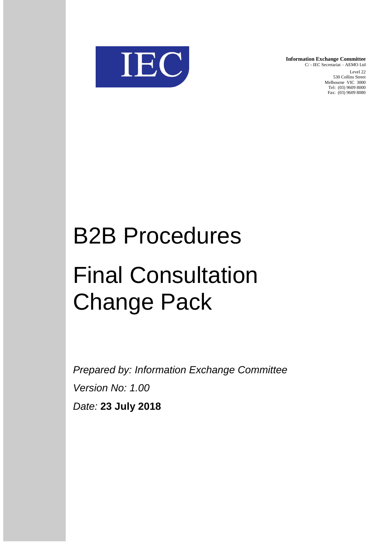

**Information Exchange Committee** C/ - IEC Secretariat – AEMO Ltd Level 22 530 Collins Street Melbourne VIC 3000 Tel: (03) 9609 8000 Fax: (03) 9609 8080

# B2B Procedures Final Consultation Change Pack

*Prepared by: Information Exchange Committee Version No: 1.00 Date:* **23 July 2018**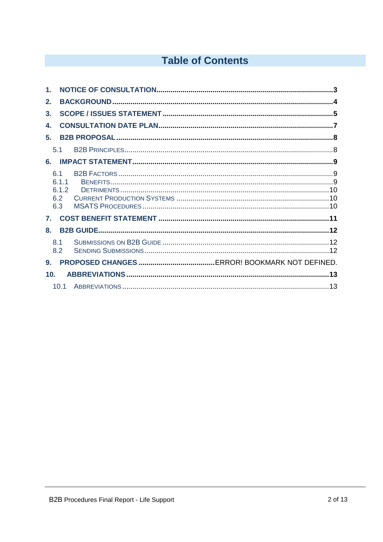# **Table of Contents**

| $\mathbf 1$ .   |                                     |  |
|-----------------|-------------------------------------|--|
| 2.              |                                     |  |
| 3.              |                                     |  |
| 4.              |                                     |  |
| 5.              |                                     |  |
|                 | 5.1                                 |  |
| 6.              |                                     |  |
|                 | 6.1<br>6.1.1<br>6.1.2<br>6.2<br>6.3 |  |
| 7 <sub>1</sub>  |                                     |  |
| 8.              |                                     |  |
|                 | 8.1<br>8.2                          |  |
| 9.              |                                     |  |
| 10 <sub>1</sub> |                                     |  |
|                 | 10.1                                |  |
|                 |                                     |  |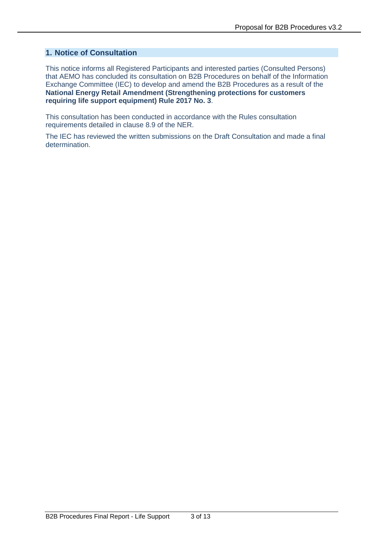#### **1. Notice of Consultation**

This notice informs all Registered Participants and interested parties (Consulted Persons) that AEMO has concluded its consultation on B2B Procedures on behalf of the Information Exchange Committee (IEC) to develop and amend the B2B Procedures as a result of the **National Energy Retail Amendment (Strengthening protections for customers requiring life support equipment) Rule 2017 No. 3**.

This consultation has been conducted in accordance with the Rules consultation requirements detailed in clause 8.9 of the NER.

The IEC has reviewed the written submissions on the Draft Consultation and made a final determination.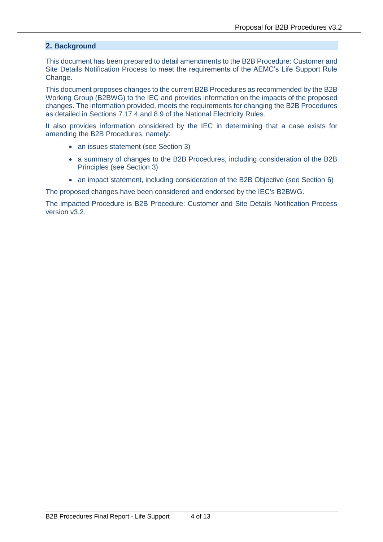#### **2. Background**

This document has been prepared to detail amendments to the B2B Procedure: Customer and Site Details Notification Process to meet the requirements of the AEMC's Life Support Rule Change.

This document proposes changes to the current B2B Procedures as recommended by the B2B Working Group (B2BWG) to the IEC and provides information on the impacts of the proposed changes. The information provided, meets the requirements for changing the B2B Procedures as detailed in Sections 7.17.4 and 8.9 of the National Electricity Rules.

It also provides information considered by the IEC in determining that a case exists for amending the B2B Procedures, namely:

- an issues statement (see Section 3)
- a summary of changes to the B2B Procedures, including consideration of the B2B Principles (see Section 3)
- an impact statement, including consideration of the B2B Objective (see Section 6)

The proposed changes have been considered and endorsed by the IEC's B2BWG.

The impacted Procedure is B2B Procedure: Customer and Site Details Notification Process version v3.2.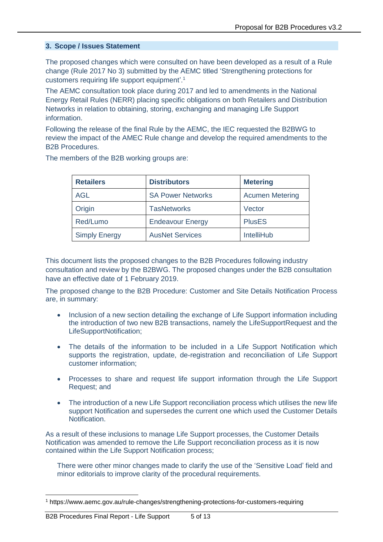#### **3. Scope / Issues Statement**

The proposed changes which were consulted on have been developed as a result of a Rule change (Rule 2017 No 3) submitted by the AEMC titled 'Strengthening protections for customers requiring life support equipment'.<sup>1</sup>

The AEMC consultation took place during 2017 and led to amendments in the National Energy Retail Rules (NERR) placing specific obligations on both Retailers and Distribution Networks in relation to obtaining, storing, exchanging and managing Life Support information.

Following the release of the final Rule by the AEMC, the IEC requested the B2BWG to review the impact of the AMEC Rule change and develop the required amendments to the B2B Procedures.

The members of the B2B working groups are:

| <b>Retailers</b>     | <b>Distributors</b>      | <b>Metering</b>        |
|----------------------|--------------------------|------------------------|
| AGL                  | <b>SA Power Networks</b> | <b>Acumen Metering</b> |
| Origin               | <b>TasNetworks</b>       | Vector                 |
| Red/Lumo             | <b>Endeavour Energy</b>  | <b>PlusES</b>          |
| <b>Simply Energy</b> | <b>AusNet Services</b>   | <b>IntelliHub</b>      |

This document lists the proposed changes to the B2B Procedures following industry consultation and review by the B2BWG. The proposed changes under the B2B consultation have an effective date of 1 February 2019.

The proposed change to the B2B Procedure: Customer and Site Details Notification Process are, in summary:

- Inclusion of a new section detailing the exchange of Life Support information including the introduction of two new B2B transactions, namely the LifeSupportRequest and the LifeSupportNotification;
- The details of the information to be included in a Life Support Notification which supports the registration, update, de-registration and reconciliation of Life Support customer information;
- Processes to share and request life support information through the Life Support Request; and
- The introduction of a new Life Support reconciliation process which utilises the new life support Notification and supersedes the current one which used the Customer Details Notification.

As a result of these inclusions to manage Life Support processes, the Customer Details Notification was amended to remove the Life Support reconciliation process as it is now contained within the Life Support Notification process;

There were other minor changes made to clarify the use of the 'Sensitive Load' field and minor editorials to improve clarity of the procedural requirements.

<sup>1</sup> https://www.aemc.gov.au/rule-changes/strengthening-protections-for-customers-requiring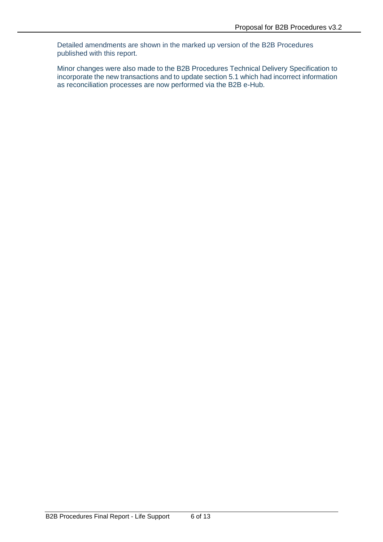Detailed amendments are shown in the marked up version of the B2B Procedures published with this report.

Minor changes were also made to the B2B Procedures Technical Delivery Specification to incorporate the new transactions and to update section 5.1 which had incorrect information as reconciliation processes are now performed via the B2B e-Hub.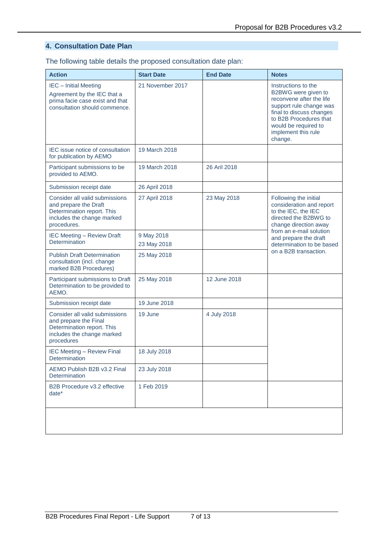# **4. Consultation Date Plan**

The following table details the proposed consultation date plan:

| <b>Action</b>                                                                                                                      | <b>Start Date</b>         | <b>End Date</b> | <b>Notes</b>                                                                                                                                                                                                      |  |
|------------------------------------------------------------------------------------------------------------------------------------|---------------------------|-----------------|-------------------------------------------------------------------------------------------------------------------------------------------------------------------------------------------------------------------|--|
| <b>IEC</b> - Initial Meeting<br>Agreement by the IEC that a<br>prima facie case exist and that<br>consultation should commence.    | 21 November 2017          |                 | Instructions to the<br>B2BWG were given to<br>reconvene after the life<br>support rule change was<br>final to discuss changes<br>to B2B Procedures that<br>would be required to<br>implement this rule<br>change. |  |
| IEC issue notice of consultation<br>for publication by AEMO                                                                        | 19 March 2018             |                 |                                                                                                                                                                                                                   |  |
| Participant submissions to be<br>provided to AEMO.                                                                                 | 19 March 2018             | 26 Aril 2018    |                                                                                                                                                                                                                   |  |
| Submission receipt date                                                                                                            | 26 April 2018             |                 |                                                                                                                                                                                                                   |  |
| Consider all valid submissions<br>and prepare the Draft<br>Determination report. This<br>includes the change marked<br>procedures. | 27 April 2018             | 23 May 2018     | Following the initial<br>consideration and report<br>to the IEC, the IEC<br>directed the B2BWG to<br>change direction away                                                                                        |  |
| <b>IEC Meeting - Review Draft</b><br>Determination                                                                                 | 9 May 2018<br>23 May 2018 |                 | from an e-mail solution<br>and prepare the draft<br>determination to be based<br>on a B2B transaction.                                                                                                            |  |
| <b>Publish Draft Determination</b><br>consultation (incl. change<br>marked B2B Procedures)                                         | 25 May 2018               |                 |                                                                                                                                                                                                                   |  |
| Participant submissions to Draft<br>Determination to be provided to<br>AEMO.                                                       | 25 May 2018               | 12 June 2018    |                                                                                                                                                                                                                   |  |
| Submission receipt date                                                                                                            | 19 June 2018              |                 |                                                                                                                                                                                                                   |  |
| Consider all valid submissions<br>and prepare the Final<br>Determination report. This<br>includes the change marked<br>procedures  | 19 June                   | 4 July 2018     |                                                                                                                                                                                                                   |  |
| <b>IEC Meeting - Review Final</b><br>Determination                                                                                 | 18 July 2018              |                 |                                                                                                                                                                                                                   |  |
| AEMO Publish B2B v3.2 Final<br>Determination                                                                                       | 23 July 2018              |                 |                                                                                                                                                                                                                   |  |
| B2B Procedure v3.2 effective<br>$date^*$                                                                                           | 1 Feb 2019                |                 |                                                                                                                                                                                                                   |  |
|                                                                                                                                    |                           |                 |                                                                                                                                                                                                                   |  |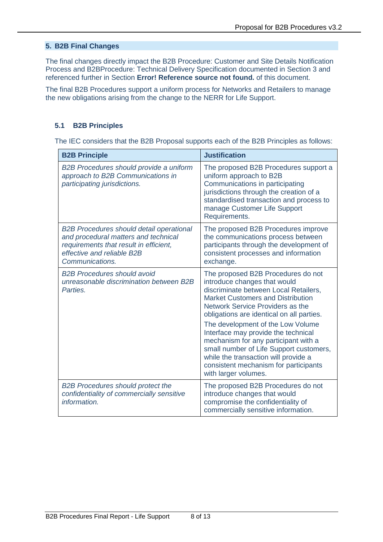### **5. B2B Final Changes**

The final changes directly impact the B2B Procedure: Customer and Site Details Notification Process and B2BProcedure: Technical Delivery Specification documented in Section 3 and referenced further in Section **Error! Reference source not found.** of this document.

The final B2B Procedures support a uniform process for Networks and Retailers to manage the new obligations arising from the change to the NERR for Life Support.

#### **5.1 B2B Principles**

The IEC considers that the B2B Proposal supports each of the B2B Principles as follows:

| <b>B2B Principle</b>                                                                                                                                                               | <b>Justification</b>                                                                                                                                                                                                                                                                                                                                                                                                                                                                                             |
|------------------------------------------------------------------------------------------------------------------------------------------------------------------------------------|------------------------------------------------------------------------------------------------------------------------------------------------------------------------------------------------------------------------------------------------------------------------------------------------------------------------------------------------------------------------------------------------------------------------------------------------------------------------------------------------------------------|
| B2B Procedures should provide a uniform<br>approach to B2B Communications in<br>participating jurisdictions.                                                                       | The proposed B2B Procedures support a<br>uniform approach to B2B<br>Communications in participating<br>jurisdictions through the creation of a<br>standardised transaction and process to<br>manage Customer Life Support<br>Requirements.                                                                                                                                                                                                                                                                       |
| <b>B2B Procedures should detail operational</b><br>and procedural matters and technical<br>requirements that result in efficient,<br>effective and reliable B2B<br>Communications. | The proposed B2B Procedures improve<br>the communications process between<br>participants through the development of<br>consistent processes and information<br>exchange.                                                                                                                                                                                                                                                                                                                                        |
| <b>B2B Procedures should avoid</b><br>unreasonable discrimination between B2B<br>Parties.                                                                                          | The proposed B2B Procedures do not<br>introduce changes that would<br>discriminate between Local Retailers,<br><b>Market Customers and Distribution</b><br>Network Service Providers as the<br>obligations are identical on all parties.<br>The development of the Low Volume<br>Interface may provide the technical<br>mechanism for any participant with a<br>small number of Life Support customers,<br>while the transaction will provide a<br>consistent mechanism for participants<br>with larger volumes. |
| <b>B2B Procedures should protect the</b><br>confidentiality of commercially sensitive<br>information.                                                                              | The proposed B2B Procedures do not<br>introduce changes that would<br>compromise the confidentiality of<br>commercially sensitive information.                                                                                                                                                                                                                                                                                                                                                                   |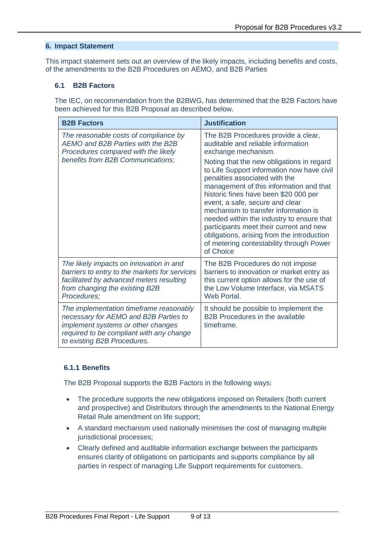#### **6. Impact Statement**

This impact statement sets out an overview of the likely impacts, including benefits and costs, of the amendments to the B2B Procedures on AEMO, and B2B Parties

#### **6.1 B2B Factors**

The IEC, on recommendation from the B2BWG, has determined that the B2B Factors have been achieved for this B2B Proposal as described below.

| <b>B2B Factors</b>                                                                                                                                                                                | <b>Justification</b>                                                                                                                                                                                                                                                                                                                                                                                                                                                                   |
|---------------------------------------------------------------------------------------------------------------------------------------------------------------------------------------------------|----------------------------------------------------------------------------------------------------------------------------------------------------------------------------------------------------------------------------------------------------------------------------------------------------------------------------------------------------------------------------------------------------------------------------------------------------------------------------------------|
| The reasonable costs of compliance by<br>AEMO and B2B Parties with the B2B<br>Procedures compared with the likely                                                                                 | The B2B Procedures provide a clear,<br>auditable and reliable information<br>exchange mechanism.                                                                                                                                                                                                                                                                                                                                                                                       |
| benefits from B2B Communications;                                                                                                                                                                 | Noting that the new obligations in regard<br>to Life Support information now have civil<br>penalties associated with the<br>management of this information and that<br>historic fines have been \$20 000 per<br>event, a safe, secure and clear<br>mechanism to transfer information is<br>needed within the industry to ensure that<br>participants meet their current and new<br>obligations, arising from the introduction<br>of metering contestability through Power<br>of Choice |
| The likely impacts on innovation in and<br>barriers to entry to the markets for services<br>facilitated by advanced meters resulting<br>from changing the existing B2B<br>Procedures;             | The B2B Procedures do not impose<br>barriers to innovation or market entry as<br>this current option allows for the use of<br>the Low Volume Interface, via MSATS<br>Web Portal.                                                                                                                                                                                                                                                                                                       |
| The implementation timeframe reasonably<br>necessary for AEMO and B2B Parties to<br>implement systems or other changes<br>required to be compliant with any change<br>to existing B2B Procedures. | It should be possible to implement the<br><b>B2B Procedures in the available</b><br>timeframe.                                                                                                                                                                                                                                                                                                                                                                                         |

#### **6.1.1 Benefits**

The B2B Proposal supports the B2B Factors in the following ways:

- The procedure supports the new obligations imposed on Retailers (both current and prospective) and Distributors through the amendments to the National Energy Retail Rule amendment on life support;
- A standard mechanism used nationally minimises the cost of managing multiple jurisdictional processes;
- Clearly defined and auditable information exchange between the participants ensures clarity of obligations on participants and supports compliance by all parties in respect of managing Life Support requirements for customers.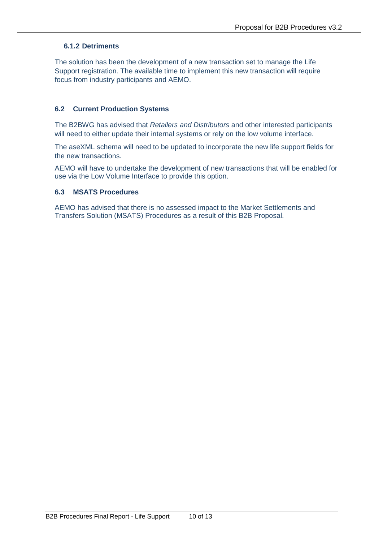# **6.1.2 Detriments**

The solution has been the development of a new transaction set to manage the Life Support registration. The available time to implement this new transaction will require focus from industry participants and AEMO.

# **6.2 Current Production Systems**

The B2BWG has advised that *Retailers and Distributors* and other interested participants will need to either update their internal systems or rely on the low volume interface.

The aseXML schema will need to be updated to incorporate the new life support fields for the new transactions.

AEMO will have to undertake the development of new transactions that will be enabled for use via the Low Volume Interface to provide this option.

#### **6.3 MSATS Procedures**

AEMO has advised that there is no assessed impact to the Market Settlements and Transfers Solution (MSATS) Procedures as a result of this B2B Proposal.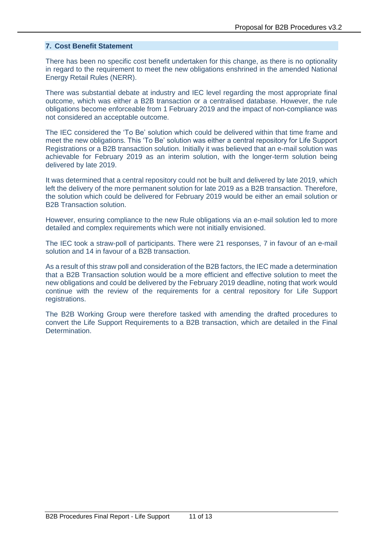#### **7. Cost Benefit Statement**

There has been no specific cost benefit undertaken for this change, as there is no optionality in regard to the requirement to meet the new obligations enshrined in the amended National Energy Retail Rules (NERR).

There was substantial debate at industry and IEC level regarding the most appropriate final outcome, which was either a B2B transaction or a centralised database. However, the rule obligations become enforceable from 1 February 2019 and the impact of non-compliance was not considered an acceptable outcome.

The IEC considered the 'To Be' solution which could be delivered within that time frame and meet the new obligations. This 'To Be' solution was either a central repository for Life Support Registrations or a B2B transaction solution. Initially it was believed that an e-mail solution was achievable for February 2019 as an interim solution, with the longer-term solution being delivered by late 2019.

It was determined that a central repository could not be built and delivered by late 2019, which left the delivery of the more permanent solution for late 2019 as a B2B transaction. Therefore, the solution which could be delivered for February 2019 would be either an email solution or B2B Transaction solution.

However, ensuring compliance to the new Rule obligations via an e-mail solution led to more detailed and complex requirements which were not initially envisioned.

The IEC took a straw-poll of participants. There were 21 responses, 7 in favour of an e-mail solution and 14 in favour of a B2B transaction.

As a result of this straw poll and consideration of the B2B factors, the IEC made a determination that a B2B Transaction solution would be a more efficient and effective solution to meet the new obligations and could be delivered by the February 2019 deadline, noting that work would continue with the review of the requirements for a central repository for Life Support registrations.

The B2B Working Group were therefore tasked with amending the drafted procedures to convert the Life Support Requirements to a B2B transaction, which are detailed in the Final Determination.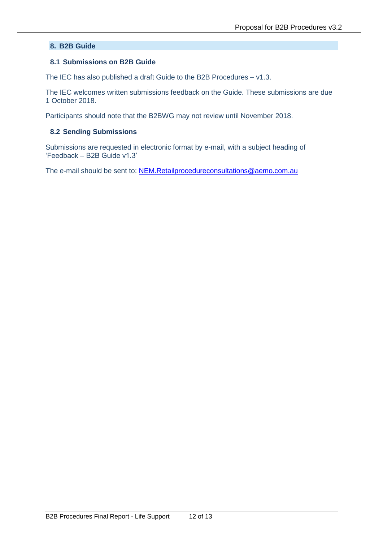#### **8. B2B Guide**

#### **8.1 Submissions on B2B Guide**

The IEC has also published a draft Guide to the B2B Procedures – v1.3.

The IEC welcomes written submissions feedback on the Guide. These submissions are due 1 October 2018.

Participants should note that the B2BWG may not review until November 2018.

#### **8.2 Sending Submissions**

Submissions are requested in electronic format by e-mail, with a subject heading of 'Feedback – B2B Guide v1.3'

The e-mail should be sent to: [NEM.Retailprocedureconsultations@aemo.com.au](mailto:NEM.Retailprocedureconsultations@aemo.com.au)